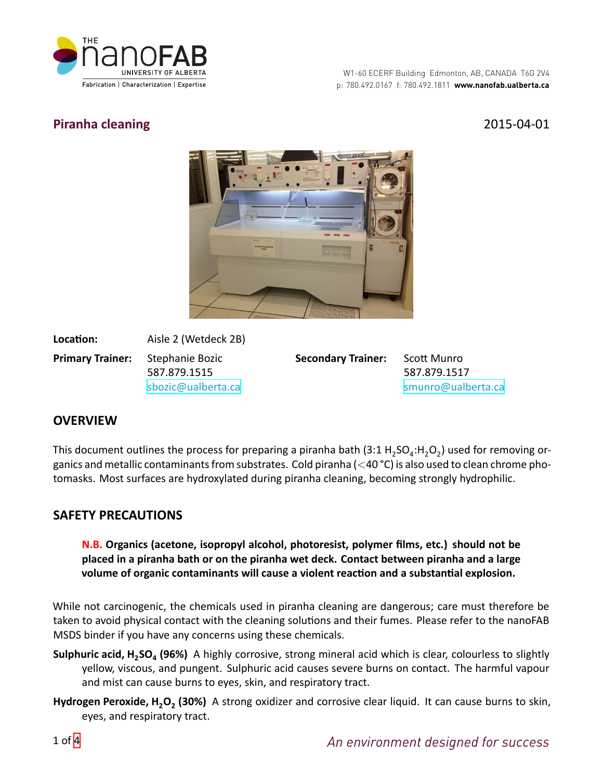

# **Piranha cleaning** 2015-04-01



Location: Aisle 2 (Wetdeck 2B) **Primary Trainer:** Stephanie Bozic 587.879.1515 [sbozic@ualberta.ca](mailto:sbozic@ualberta.ca)

**Secondary Trainer:** Scott Munro

587.879.1517 [smunro@ualberta.ca](mailto:smunro@ualberta.ca)

# **OVERVIEW**

This document outlines the process for preparing a piranha bath (3:1  $H_2SO_4$ : $H_2O_2$ ) used for removing organics and metallic contaminants from substrates. Cold piranha (*<*40 °C) is also used to clean chrome photomasks. Most surfaces are hydroxylated during piranha cleaning, becoming strongly hydrophilic.

## **SAFETY PRECAUTIONS**

**N.B. Organics (acetone, isopropyl alcohol, photoresist, polymer films, etc.) should not be placed in a piranha bath or on the piranha wet deck. Contact between piranha and a large** volume of organic contaminants will cause a violent reaction and a substantial explosion.

While not carcinogenic, the chemicals used in piranha cleaning are dangerous; care must therefore be taken to avoid physical contact with the cleaning solutions and their fumes. Please refer to the nanoFAB MSDS binder if you have any concerns using these chemicals.

- **Sulphuric acid, H<sup>2</sup> SO<sup>4</sup> (96%)** A highly corrosive, strong mineral acid which is clear, colourless to slightly yellow, viscous, and pungent. Sulphuric acid causes severe burns on contact. The harmful vapour and mist can cause burns to eyes, skin, and respiratory tract.
- **Hydrogen Peroxide, H2O<sup>2</sup> (30%)** A strong oxidizer and corrosive clear liquid. It can cause burns to skin, eyes, and respiratory tract.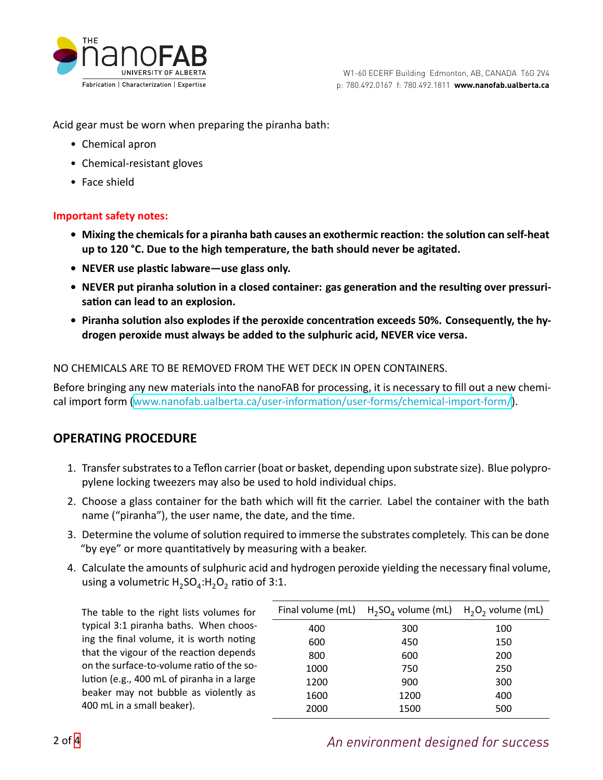

Acid gear must be worn when preparing the piranha bath:

- Chemical apron
- Chemical-resistant gloves
- Face shield

### **Important safety notes:**

- Mixing the chemicals for a piranha bath causes an exothermic reaction: the solution can self-heat **up to 120 °C. Due to the high temperature, the bath should never be agitated.**
- **NEVER** use plastic labware—use glass only.
- NEVER put piranha solution in a closed container: gas generation and the resulting over pressurisation can lead to an explosion.
- Piranha solution also explodes if the peroxide concentration exceeds 50%. Consequently, the hy**drogen peroxide must always be added to the sulphuric acid, NEVER vice versa.**

### NO CHEMICALS ARE TO BE REMOVED FROM THE WET DECK IN OPEN CONTAINERS.

Before bringing any new materials into the nanoFAB for processing, it is necessary to fill out a new chemicalimport form (www.nanofab.ualberta.ca/user-information/user-forms/chemical-import-form/).

## **OPERATING PROCEDURE**

- 1. Transfer substrates to a Teflon carrier (boat or basket, depending upon substrate size). Blue polypropylene locking tweezers may also be used to hold individual chips.
- 2. Choose a glass container for the bath which will fit the carrier. Label the container with the bath name ("piranha"), the user name, the date, and the time.
- 3. Determine the volume of solution required to immerse the substrates completely. This can be done "by eye" or more quantitatively by measuring with a beaker.
- 4. Calculate the amounts of sulphuric acid and hydrogen peroxide yielding the necessary final volume, using a volumetric  $H_2SO_4$ : $H_2O_2$  ratio of 3:1.

The table to the right lists volumes for typical 3:1 piranha baths. When choosing the final volume, it is worth noting that the vigour of the reaction depends on the surface-to-volume ratio of the solution (e.g., 400 mL of piranha in a large beaker may not bubble as violently as 400 mL in a small beaker).

|      | Final volume (mL) $H_2SO_4$ volume (mL) $H_2O_2$ volume (mL) |     |
|------|--------------------------------------------------------------|-----|
| 400  | 300                                                          | 100 |
| 600  | 450                                                          | 150 |
| 800  | 600                                                          | 200 |
| 1000 | 750                                                          | 250 |
| 1200 | 900                                                          | 300 |
| 1600 | 1200                                                         | 400 |
| 2000 | 1500                                                         | 500 |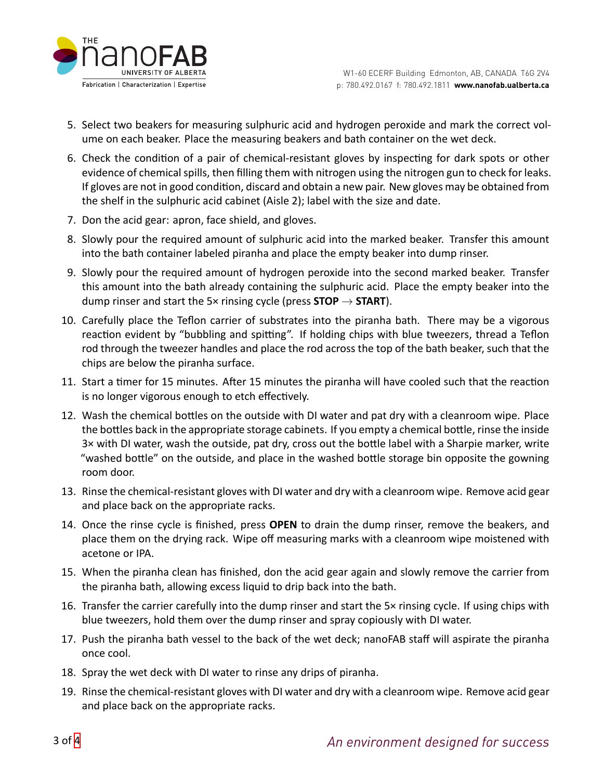

- 5. Select two beakers for measuring sulphuric acid and hydrogen peroxide and mark the correct volume on each beaker. Place the measuring beakers and bath container on the wet deck.
- 6. Check the condition of a pair of chemical-resistant gloves by inspecting for dark spots or other evidence of chemical spills, then filling them with nitrogen using the nitrogen gun to check for leaks. If gloves are not in good condition, discard and obtain a new pair. New gloves may be obtained from the shelf in the sulphuric acid cabinet (Aisle 2); label with the size and date.
- 7. Don the acid gear: apron, face shield, and gloves.
- 8. Slowly pour the required amount of sulphuric acid into the marked beaker. Transfer this amount into the bath container labeled piranha and place the empty beaker into dump rinser.
- 9. Slowly pour the required amount of hydrogen peroxide into the second marked beaker. Transfer this amount into the bath already containing the sulphuric acid. Place the empty beaker into the dump rinser and start the 5× rinsing cycle (press **STOP** *→* **START**).
- 10. Carefully place the Teflon carrier of substrates into the piranha bath. There may be a vigorous reaction evident by "bubbling and spitting". If holding chips with blue tweezers, thread a Teflon rod through the tweezer handles and place the rod across the top of the bath beaker, such that the chips are below the piranha surface.
- 11. Start a timer for 15 minutes. After 15 minutes the piranha will have cooled such that the reaction is no longer vigorous enough to etch effectively.
- 12. Wash the chemical bottles on the outside with DI water and pat dry with a cleanroom wipe. Place the bottles back in the appropriate storage cabinets. If you empty a chemical bottle, rinse the inside 3x with DI water, wash the outside, pat dry, cross out the bottle label with a Sharpie marker, write "washed bottle" on the outside, and place in the washed bottle storage bin opposite the gowning room door.
- 13. Rinse the chemical-resistant gloves with DI water and dry with a cleanroom wipe. Remove acid gear and place back on the appropriate racks.
- 14. Once the rinse cycle is finished, press **OPEN** to drain the dump rinser, remove the beakers, and place them on the drying rack. Wipe off measuring marks with a cleanroom wipe moistened with acetone or IPA.
- 15. When the piranha clean has finished, don the acid gear again and slowly remove the carrier from the piranha bath, allowing excess liquid to drip back into the bath.
- 16. Transfer the carrier carefully into the dump rinser and start the 5× rinsing cycle. If using chips with blue tweezers, hold them over the dump rinser and spray copiously with DI water.
- 17. Push the piranha bath vessel to the back of the wet deck; nanoFAB staff will aspirate the piranha once cool.
- 18. Spray the wet deck with DI water to rinse any drips of piranha.
- 19. Rinse the chemical-resistant gloves with DI water and dry with a cleanroom wipe. Remove acid gear and place back on the appropriate racks.